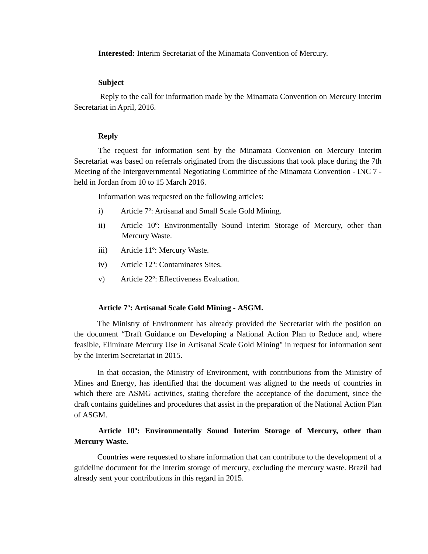### **Interested:** Interim Secretariat of the Minamata Convention of Mercury.

## **Subject**

Reply to the call for information made by the Minamata Convention on Mercury Interim Secretariat in April, 2016.

## **Reply**

The request for information sent by the Minamata Convenion on Mercury Interim Secretariat was based on referrals originated from the discussions that took place during the 7th Meeting of the Intergovernmental Negotiating Committee of the Minamata Convention - INC 7 held in Jordan from 10 to 15 March 2016.

Information was requested on the following articles:

- i) Article 7º: Artisanal and Small Scale Gold Mining.
- ii) Article 10º: Environmentally Sound Interim Storage of Mercury, other than Mercury Waste.
- iii) Article 11º: Mercury Waste.
- iv) Article 12º: Contaminates Sites.
- v) Article 22º: Effectiveness Evaluation.

### **Article 7º: Artisanal Scale Gold Mining - ASGM.**

The Ministry of Environment has already provided the Secretariat with the position on the document "Draft Guidance on Developing a National Action Plan to Reduce and, where feasible, Eliminate Mercury Use in Artisanal Scale Gold Mining" in request for information sent by the Interim Secretariat in 2015.

In that occasion, the Ministry of Environment, with contributions from the Ministry of Mines and Energy, has identified that the document was aligned to the needs of countries in which there are ASMG activities, stating therefore the acceptance of the document, since the draft contains guidelines and procedures that assist in the preparation of the National Action Plan of ASGM.

# **Article 10º: Environmentally Sound Interim Storage of Mercury, other than Mercury Waste.**

Countries were requested to share information that can contribute to the development of a guideline document for the interim storage of mercury, excluding the mercury waste. Brazil had already sent your contributions in this regard in 2015.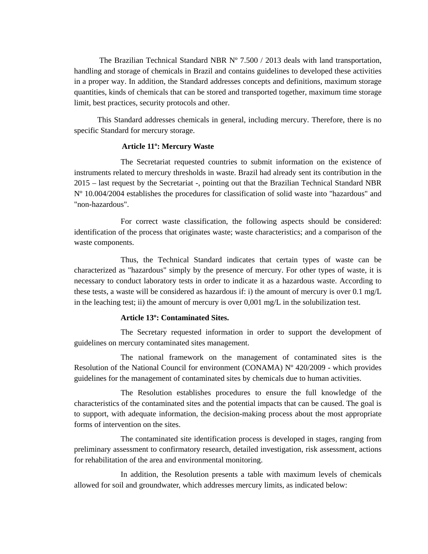The Brazilian Technical Standard NBR  $N^{\circ}$  7.500 / 2013 deals with land transportation, handling and storage of chemicals in Brazil and contains guidelines to developed these activities in a proper way. In addition, the Standard addresses concepts and definitions, maximum storage quantities, kinds of chemicals that can be stored and transported together, maximum time storage limit, best practices, security protocols and other.

This Standard addresses chemicals in general, including mercury. Therefore, there is no specific Standard for mercury storage.

## **Article 11º: Mercury Waste**

The Secretariat requested countries to submit information on the existence of instruments related to mercury thresholds in waste. Brazil had already sent its contribution in the 2015 – last request by the Secretariat -, pointing out that the Brazilian Technical Standard NBR Nº 10.004/2004 establishes the procedures for classification of solid waste into "hazardous" and "non-hazardous".

For correct waste classification, the following aspects should be considered: identification of the process that originates waste; waste characteristics; and a comparison of the waste components.

Thus, the Technical Standard indicates that certain types of waste can be characterized as "hazardous" simply by the presence of mercury. For other types of waste, it is necessary to conduct laboratory tests in order to indicate it as a hazardous waste. According to these tests, a waste will be considered as hazardous if: i) the amount of mercury is over 0.1 mg/L in the leaching test; ii) the amount of mercury is over  $0.001 \text{ mg/L}$  in the solubilization test.

### **Article 13º: Contaminated Sites.**

The Secretary requested information in order to support the development of guidelines on mercury contaminated sites management.

The national framework on the management of contaminated sites is the Resolution of the National Council for environment (CONAMA) Nº 420/2009 - which provides guidelines for the management of contaminated sites by chemicals due to human activities.

The Resolution establishes procedures to ensure the full knowledge of the characteristics of the contaminated sites and the potential impacts that can be caused. The goal is to support, with adequate information, the decision-making process about the most appropriate forms of intervention on the sites.

The contaminated site identification process is developed in stages, ranging from preliminary assessment to confirmatory research, detailed investigation, risk assessment, actions for rehabilitation of the area and environmental monitoring.

In addition, the Resolution presents a table with maximum levels of chemicals allowed for soil and groundwater, which addresses mercury limits, as indicated below: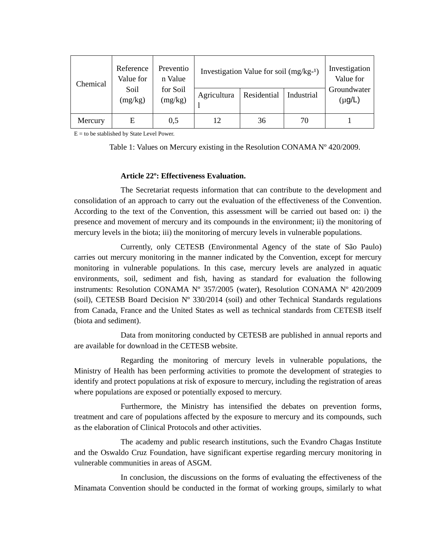| Chemical | Reference<br>Value for<br>Soil<br>(mg/kg) | Preventio<br>n Value<br>for Soil<br>(mg/kg) | Investigation Value for soil $(mg/kg-1)$ |             |            | Investigation<br>Value for |
|----------|-------------------------------------------|---------------------------------------------|------------------------------------------|-------------|------------|----------------------------|
|          |                                           |                                             | Agricultura                              | Residential | Industrial | Groundwater<br>$(\mu g/L)$ |
| Mercury  | E                                         | 0,5                                         | 12                                       | 36          | 70         |                            |

 $E =$  to be stablished by State Level Power.

Table 1: Values on Mercury existing in the Resolution CONAMA Nº 420/2009.

### **Article 22º: Effectiveness Evaluation.**

The Secretariat requests information that can contribute to the development and consolidation of an approach to carry out the evaluation of the effectiveness of the Convention. According to the text of the Convention, this assessment will be carried out based on: i) the presence and movement of mercury and its compounds in the environment; ii) the monitoring of mercury levels in the biota; iii) the monitoring of mercury levels in vulnerable populations.

Currently, only CETESB (Environmental Agency of the state of São Paulo) carries out mercury monitoring in the manner indicated by the Convention, except for mercury monitoring in vulnerable populations. In this case, mercury levels are analyzed in aquatic environments, soil, sediment and fish, having as standard for evaluation the following instruments: Resolution CONAMA Nº 357/2005 (water), Resolution CONAMA Nº 420/2009 (soil), CETESB Board Decision Nº 330/2014 (soil) and other Technical Standards regulations from Canada, France and the United States as well as technical standards from CETESB itself (biota and sediment).

Data from monitoring conducted by CETESB are published in annual reports and are available for download in the CETESB website.

Regarding the monitoring of mercury levels in vulnerable populations, the Ministry of Health has been performing activities to promote the development of strategies to identify and protect populations at risk of exposure to mercury, including the registration of areas where populations are exposed or potentially exposed to mercury.

Furthermore, the Ministry has intensified the debates on prevention forms, treatment and care of populations affected by the exposure to mercury and its compounds, such as the elaboration of Clinical Protocols and other activities.

 The academy and public research institutions, such the Evandro Chagas Institute and the Oswaldo Cruz Foundation, have significant expertise regarding mercury monitoring in vulnerable communities in areas of ASGM.

 In conclusion, the discussions on the forms of evaluating the effectiveness of the Minamata Convention should be conducted in the format of working groups, similarly to what